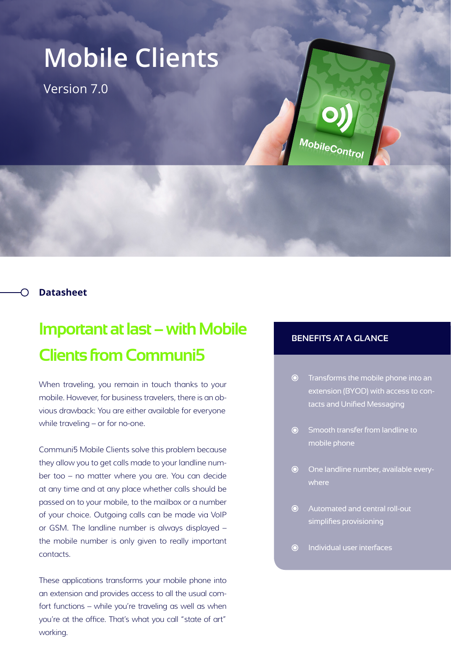## **Mobile Clients**

Version 7.0



## **Datasheet**

## **Important at last – with Mobile Clients from Communi5**

When traveling, you remain in touch thanks to your mobile. However, for business travelers, there is an obvious drawback: You are either available for everyone while traveling – or for no-one.

Communi5 Mobile Clients solve this problem because they allow you to get calls made to your landline number too – no matter where you are. You can decide at any time and at any place whether calls should be passed on to your mobile, to the mailbox or a number of your choice. Outgoing calls can be made via VoIP or GSM. The landline number is always displayed – the mobile number is only given to really important contacts.

These applications transforms your mobile phone into an extension and provides access to all the usual comfort functions – while you're traveling as well as when you're at the office. That's what you call "state of art" working.

## **BENEFITS AT A GLANCE**

- Transforms the mobile phone into an extension (BYOD) with access to contacts and Unified Messaging
- Smooth transfer from landline to mobile phone
- One landline number, available everywhere
- Automated and central roll-out simplifies provisioning
- Individual user interfaces  $\odot$